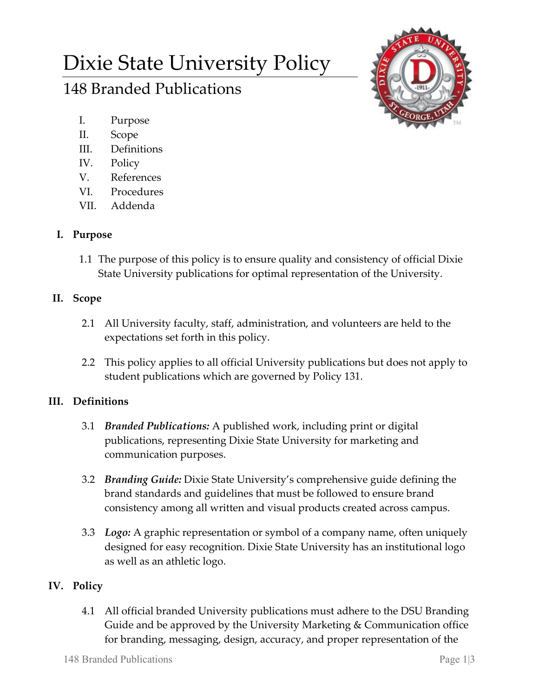# Dixie State University Policy

# 148 Branded Publications

- I. Purpose
- II. Scope
- III. Definitions
- IV. Policy
- V. References
- VI. Procedures
- VII. Addenda

# **I. Purpose**

1.1 The purpose of this policy is to ensure quality and consistency of official Dixie State University publications for optimal representation of the University.

#### **II. Scope**

- 2.1 All University faculty, staff, administration, and volunteers are held to the expectations set forth in this policy.
- 2.2 This policy applies to all official University publications but does not apply to student publications which are governed by Policy 131.

# **III. Definitions**

- 3.1 *Branded Publications:* A published work, including print or digital publications, representing Dixie State University for marketing and communication purposes.
- 3.2 *Branding Guide:* Dixie State University's comprehensive guide defining the brand standards and guidelines that must be followed to ensure brand consistency among all written and visual products created across campus.
- 3.3 *Logo:* A graphic representation or symbol of a company name, often uniquely designed for easy recognition. Dixie State University has an institutional logo as well as an athletic logo.

# **IV. Policy**

4.1 All official branded University publications must adhere to the DSU Branding Guide and be approved by the University Marketing & Communication office for branding, messaging, design, accuracy, and proper representation of the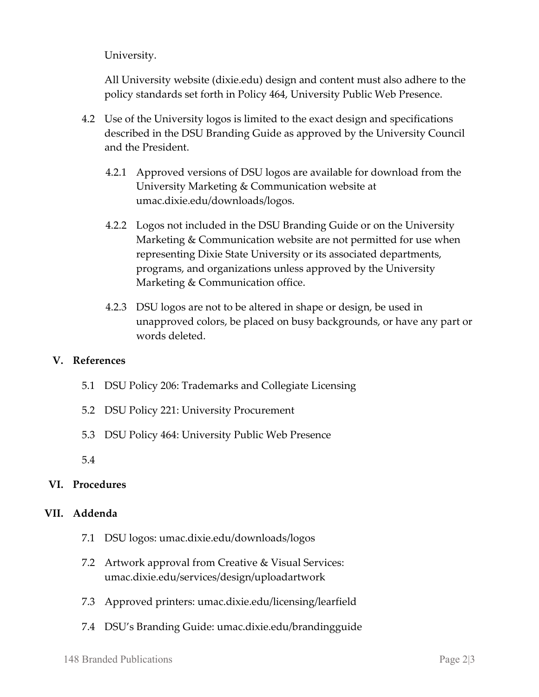University.

All University website (dixie.edu) design and content must also adhere to the policy standards set forth in Policy 464, University Public Web Presence.

- 4.2 Use of the University logos is limited to the exact design and specifications described in the DSU Branding Guide as approved by the University Council and the President.
	- 4.2.1 Approved versions of DSU logos are available for download from the University Marketing & Communication website at umac.dixie.edu/downloads/logos.
	- 4.2.2 Logos not included in the DSU Branding Guide or on the University Marketing & Communication website are not permitted for use when representing Dixie State University or its associated departments, programs, and organizations unless approved by the University Marketing & Communication office.
	- 4.2.3 DSU logos are not to be altered in shape or design, be used in unapproved colors, be placed on busy backgrounds, or have any part or words deleted.

#### **V. References**

- 5.1 DSU Policy 206: Trademarks and Collegiate Licensing
- 5.2 DSU Policy 221: University Procurement
- 5.3 DSU Policy 464: University Public Web Presence

5.4

#### **VI. Procedures**

#### **VII. Addenda**

- 7.1 DSU logos: umac.dixie.edu/downloads/logos
- 7.2 Artwork approval from Creative & Visual Services: umac.dixie.edu/services/design/uploadartwork
- 7.3 Approved printers: umac.dixie.edu/licensing/learfield
- 7.4 DSU's Branding Guide: umac.dixie.edu/brandingguide